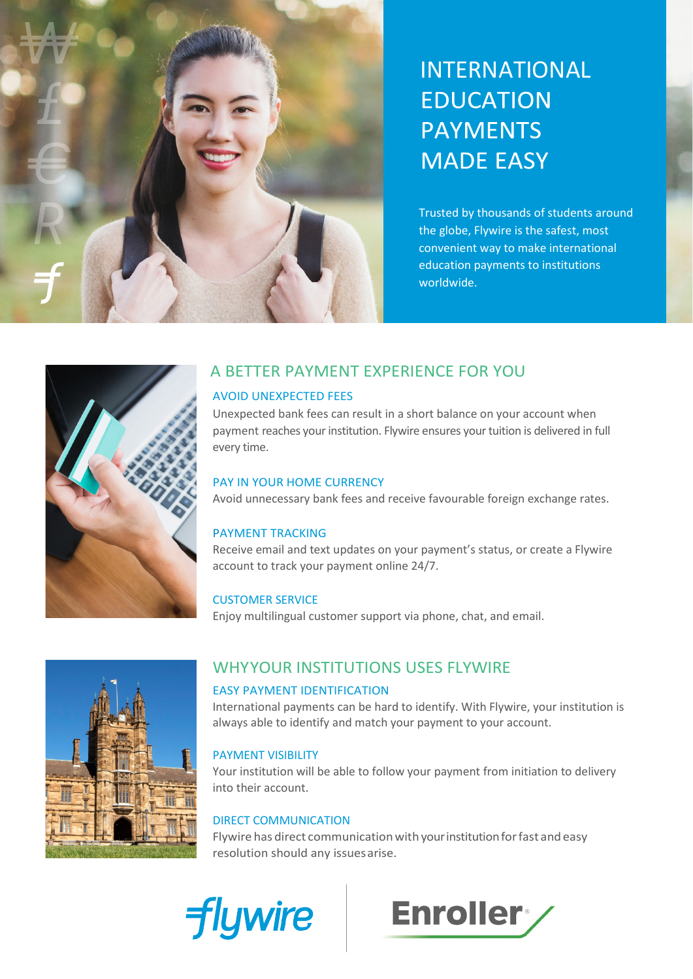

# INTERNATIONAL **EDUCATION PAYMENTS MADE EASY**

Trusted by thousands of students around the globe, Flywire is the safest, most convenient way to make international education payments to institutions worldwide.



# A BETTER PAYMENT EXPERIENCE FOR YOU

#### AVOID UNEXPECTED FEES

Unexpected bank fees can result in a short balance on your account when payment reaches your institution. Flywire ensures your tuition is delivered in full every time.

#### PAY IN YOUR HOME CURRENCY

Avoid unnecessary bank fees and receive favourable foreign exchange rates.

#### PAYMENT TRACKING

Receive email and text updates on your payment's status, or create a Flywire account to track your payment online 24/7.

#### CUSTOMER SERVICE

Enjoy multilingual customer support via phone, chat, and email.



# WHYYOUR INSTITUTIONS USES FLYWIRE

#### EASY PAYMENT IDENTIFICATION

International payments can be hard to identify. With Flywire, your institution is always able to identify and match your payment to your account.

#### PAYMENT VISIBILITY

Your institution will be able to follow your payment from initiation to delivery into their account.

#### DIRECT COMMUNICATION

Flywire has direct communication with your institution for fast and easy resolution should any issuesarise.